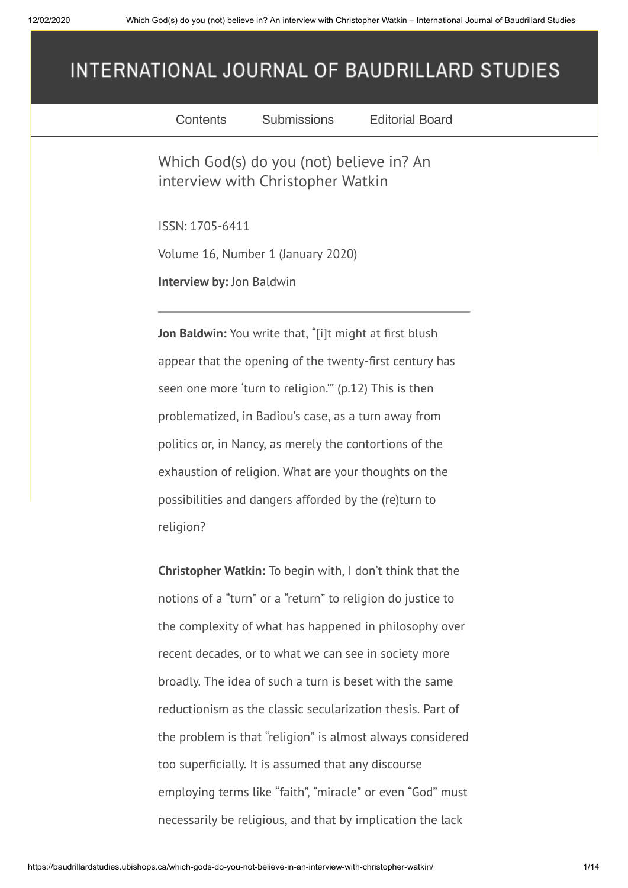## INTERNATIONAL JOURNAL OF BAUDRILLARD STUDIES

| Contents                                                | Submissions                                                                   | <b>Editorial Board</b>                                     |  |  |  |
|---------------------------------------------------------|-------------------------------------------------------------------------------|------------------------------------------------------------|--|--|--|
|                                                         | Which God(s) do you (not) believe in? An<br>interview with Christopher Watkin |                                                            |  |  |  |
| ISSN: 1705-6411                                         |                                                                               |                                                            |  |  |  |
| Volume 16, Number 1 (January 2020)                      |                                                                               |                                                            |  |  |  |
| <b>Interview by: Jon Baldwin</b>                        |                                                                               |                                                            |  |  |  |
|                                                         | Jon Baldwin: You write that, "[i]t might at first blush                       |                                                            |  |  |  |
| appear that the opening of the twenty-first century has |                                                                               |                                                            |  |  |  |
| seen one more 'turn to religion." (p.12) This is then   |                                                                               |                                                            |  |  |  |
|                                                         | problematized, in Badiou's case, as a turn away from                          |                                                            |  |  |  |
|                                                         | politics or, in Nancy, as merely the contortions of the                       |                                                            |  |  |  |
|                                                         | exhaustion of religion. What are your thoughts on the                         |                                                            |  |  |  |
|                                                         | possibilities and dangers afforded by the (re)turn to                         |                                                            |  |  |  |
| religion?                                               |                                                                               |                                                            |  |  |  |
|                                                         | <b>Christopher Watkin:</b> To begin with, I don't think that the              |                                                            |  |  |  |
|                                                         | notions of a "turn" or a "return" to religion do justice to                   |                                                            |  |  |  |
|                                                         | the complexity of what has happened in philosophy over                        |                                                            |  |  |  |
|                                                         | recent decades, or to what we can see in society more                         |                                                            |  |  |  |
|                                                         | broadly. The idea of such a turn is beset with the same                       |                                                            |  |  |  |
|                                                         | reductionism as the classic secularization thesis. Part of                    |                                                            |  |  |  |
|                                                         |                                                                               | the problem is that "religion" is almost always considered |  |  |  |
|                                                         | too superficially. It is assumed that any discourse                           |                                                            |  |  |  |
|                                                         |                                                                               | employing terms like "faith", "miracle" or even "God" must |  |  |  |
|                                                         | necessarily be religious, and that by implication the lack                    |                                                            |  |  |  |
|                                                         |                                                                               |                                                            |  |  |  |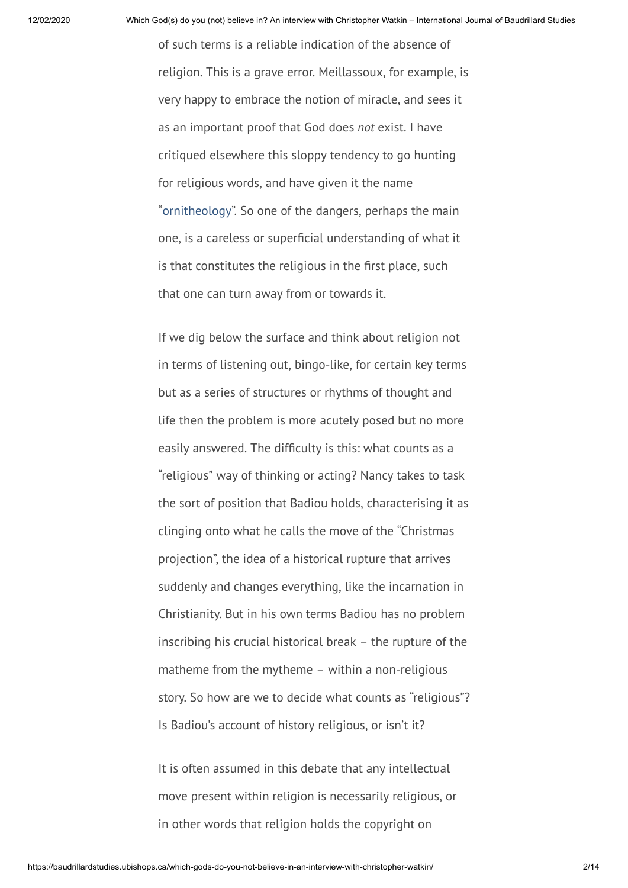of such terms is a reliable indication of the absence of religion. This is a grave error. Meillassoux, for example, is very happy to embrace the notion of miracle, and sees it as an important proof that God does *not* exist. I have critiqued elsewhere this sloppy tendency to go hunting for religious words, and have given it the name ["ornitheology"](https://christopherwatkin.com/2013/12/06/of-ornitheology/). So one of the dangers, perhaps the main one, is a careless or superficial understanding of what it is that constitutes the religious in the first place, such that one can turn away from or towards it.

If we dig below the surface and think about religion not in terms of listening out, bingo-like, for certain key terms but as a series of structures or rhythms of thought and life then the problem is more acutely posed but no more easily answered. The difficulty is this: what counts as a "religious" way of thinking or acting? Nancy takes to task the sort of position that Badiou holds, characterising it as clinging onto what he calls the move of the "Christmas projection", the idea of a historical rupture that arrives suddenly and changes everything, like the incarnation in Christianity. But in his own terms Badiou has no problem inscribing his crucial historical break – the rupture of the matheme from the mytheme – within a non-religious story. So how are we to decide what counts as "religious"? Is Badiou's account of history religious, or isn't it?

It is often assumed in this debate that any intellectual move present within religion is necessarily religious, or in other words that religion holds the copyright on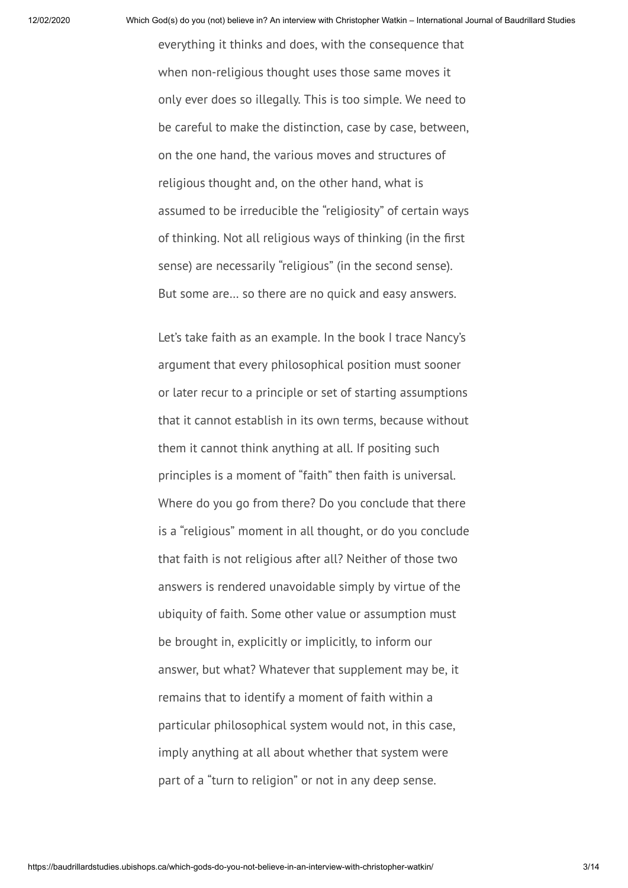everything it thinks and does, with the consequence that when non-religious thought uses those same moves it only ever does so illegally. This is too simple. We need to be careful to make the distinction, case by case, between, on the one hand, the various moves and structures of religious thought and, on the other hand, what is assumed to be irreducible the "religiosity" of certain ways of thinking. Not all religious ways of thinking (in the first sense) are necessarily "religious" (in the second sense). But some are… so there are no quick and easy answers.

Let's take faith as an example. In the book I trace Nancy's argument that every philosophical position must sooner or later recur to a principle or set of starting assumptions that it cannot establish in its own terms, because without them it cannot think anything at all. If positing such principles is a moment of "faith" then faith is universal. Where do you go from there? Do you conclude that there is a "religious" moment in all thought, or do you conclude that faith is not religious after all? Neither of those two answers is rendered unavoidable simply by virtue of the ubiquity of faith. Some other value or assumption must be brought in, explicitly or implicitly, to inform our answer, but what? Whatever that supplement may be, it remains that to identify a moment of faith within a particular philosophical system would not, in this case, imply anything at all about whether that system were part of a "turn to religion" or not in any deep sense.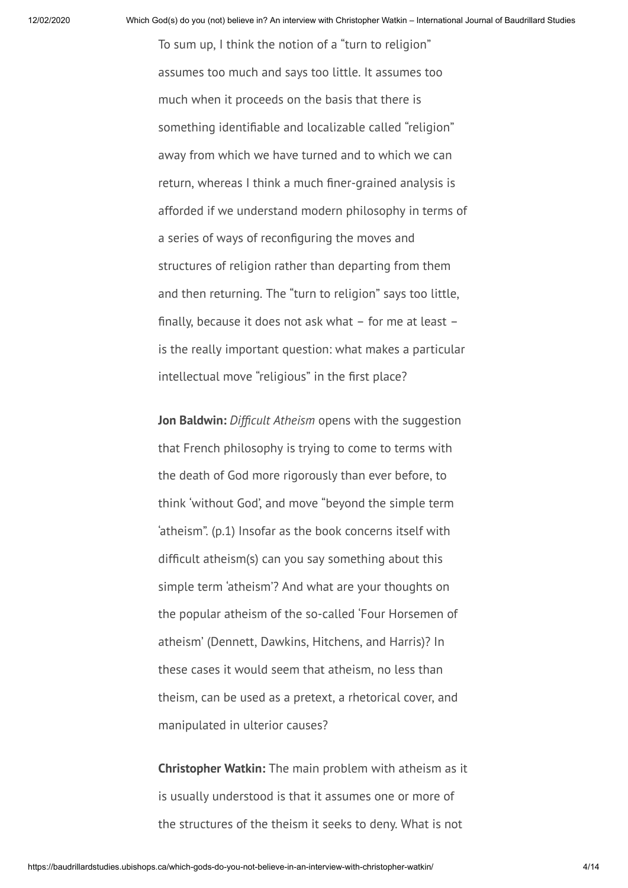To sum up, I think the notion of a "turn to religion" assumes too much and says too little. It assumes too much when it proceeds on the basis that there is something identifiable and localizable called "religion" away from which we have turned and to which we can return, whereas I think a much finer-grained analysis is afforded if we understand modern philosophy in terms of a series of ways of reconfiguring the moves and structures of religion rather than departing from them and then returning. The "turn to religion" says too little, finally, because it does not ask what  $-$  for me at least  $$ is the really important question: what makes a particular intellectual move "religious" in the first place?

**Jon Baldwin:** *Difficult Atheism* opens with the suggestion that French philosophy is trying to come to terms with the death of God more rigorously than ever before, to think 'without God', and move "beyond the simple term 'atheism". (p.1) Insofar as the book concerns itself with difficult atheism(s) can you say something about this simple term 'atheism'? And what are your thoughts on the popular atheism of the so-called 'Four Horsemen of atheism' (Dennett, Dawkins, Hitchens, and Harris)? In these cases it would seem that atheism, no less than theism, can be used as a pretext, a rhetorical cover, and manipulated in ulterior causes?

**Christopher Watkin:** The main problem with atheism as it is usually understood is that it assumes one or more of the structures of the theism it seeks to deny. What is not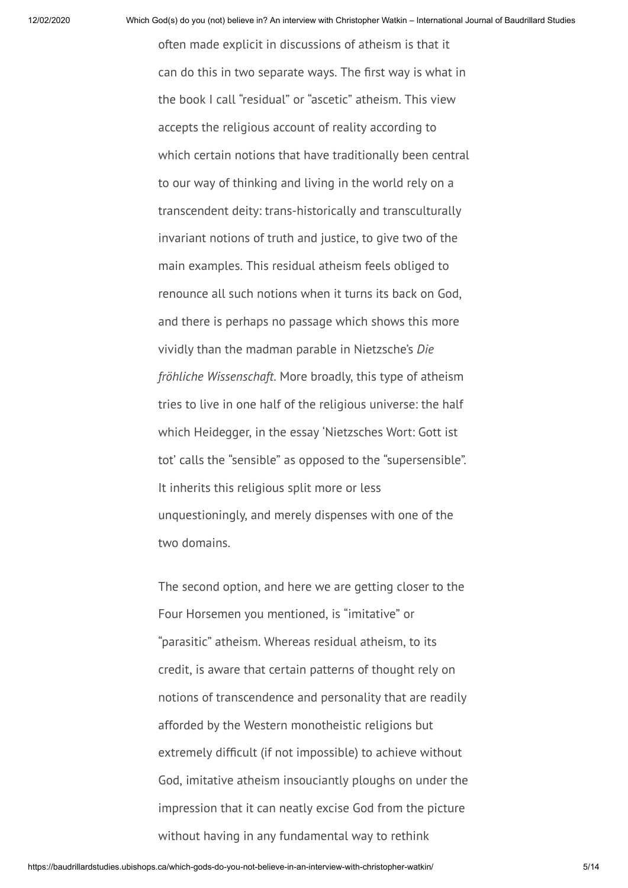often made explicit in discussions of atheism is that it can do this in two separate ways. The first way is what in the book I call "residual" or "ascetic" atheism. This view accepts the religious account of reality according to which certain notions that have traditionally been central to our way of thinking and living in the world rely on a transcendent deity: trans-historically and transculturally invariant notions of truth and justice, to give two of the main examples. This residual atheism feels obliged to renounce all such notions when it turns its back on God, and there is perhaps no passage which shows this more vividly than the madman parable in Nietzsche's *Die fröhliche Wissenschaft*. More broadly, this type of atheism tries to live in one half of the religious universe: the half which Heidegger, in the essay 'Nietzsches Wort: Gott ist tot' calls the "sensible" as opposed to the "supersensible". It inherits this religious split more or less unquestioningly, and merely dispenses with one of the two domains.

The second option, and here we are getting closer to the Four Horsemen you mentioned, is "imitative" or "parasitic" atheism. Whereas residual atheism, to its credit, is aware that certain patterns of thought rely on notions of transcendence and personality that are readily afforded by the Western monotheistic religions but extremely difficult (if not impossible) to achieve without God, imitative atheism insouciantly ploughs on under the impression that it can neatly excise God from the picture without having in any fundamental way to rethink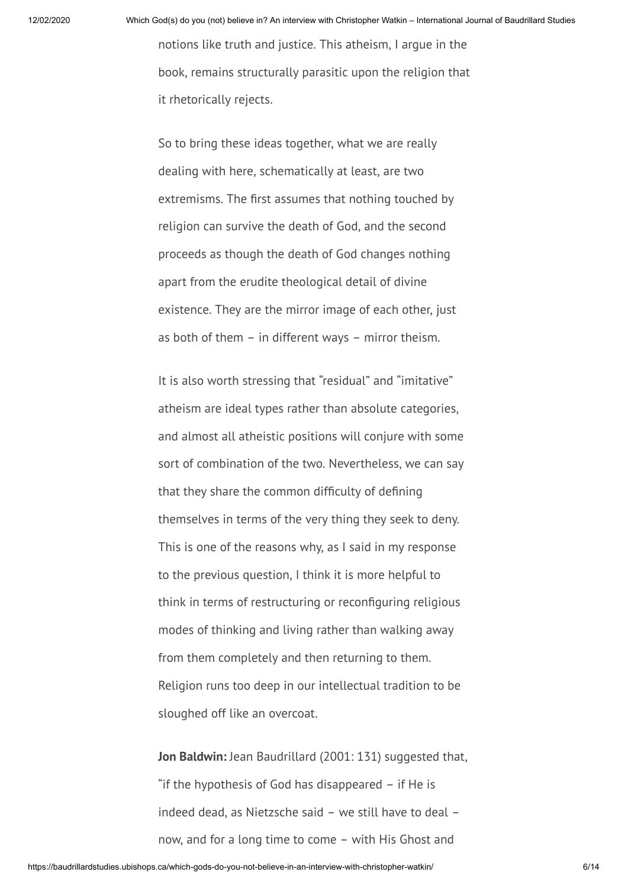notions like truth and justice. This atheism, I argue in the book, remains structurally parasitic upon the religion that it rhetorically rejects.

So to bring these ideas together, what we are really dealing with here, schematically at least, are two extremisms. The first assumes that nothing touched by religion can survive the death of God, and the second proceeds as though the death of God changes nothing apart from the erudite theological detail of divine existence. They are the mirror image of each other, just as both of them – in different ways – mirror theism.

It is also worth stressing that "residual" and "imitative" atheism are ideal types rather than absolute categories, and almost all atheistic positions will conjure with some sort of combination of the two. Nevertheless, we can say that they share the common difficulty of defining themselves in terms of the very thing they seek to deny. This is one of the reasons why, as I said in my response to the previous question, I think it is more helpful to think in terms of restructuring or reconfiguring religious modes of thinking and living rather than walking away from them completely and then returning to them. Religion runs too deep in our intellectual tradition to be sloughed off like an overcoat.

**Jon Baldwin:** Jean Baudrillard (2001: 131) suggested that, "if the hypothesis of God has disappeared – if He is indeed dead, as Nietzsche said – we still have to deal – now, and for a long time to come – with His Ghost and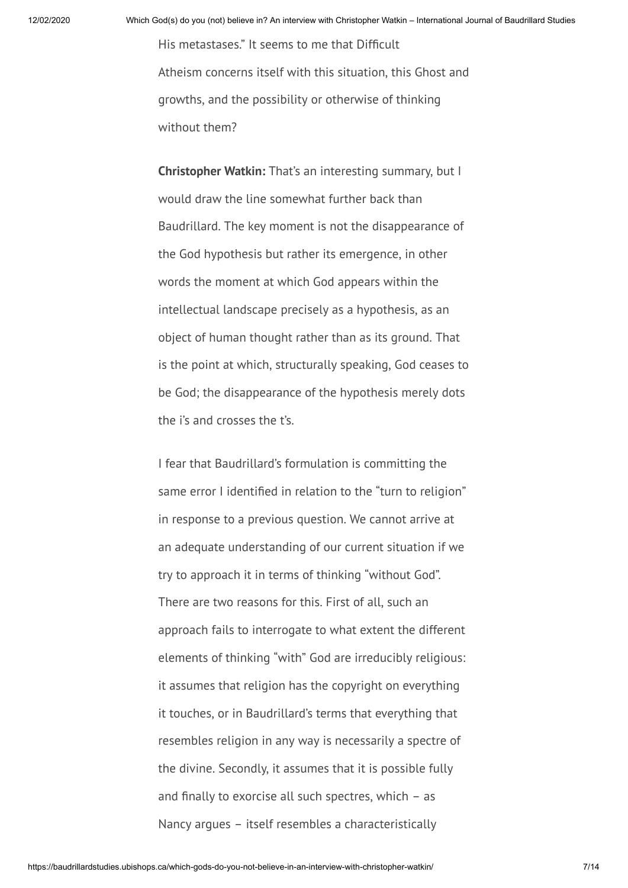His metastases." It seems to me that Difficult Atheism concerns itself with this situation, this Ghost and growths, and the possibility or otherwise of thinking without them?

**Christopher Watkin:** That's an interesting summary, but I would draw the line somewhat further back than Baudrillard. The key moment is not the disappearance of the God hypothesis but rather its emergence, in other words the moment at which God appears within the intellectual landscape precisely as a hypothesis, as an object of human thought rather than as its ground. That is the point at which, structurally speaking, God ceases to be God; the disappearance of the hypothesis merely dots the i's and crosses the t's.

I fear that Baudrillard's formulation is committing the same error I identified in relation to the "turn to religion" in response to a previous question. We cannot arrive at an adequate understanding of our current situation if we try to approach it in terms of thinking "without God". There are two reasons for this. First of all, such an approach fails to interrogate to what extent the different elements of thinking "with" God are irreducibly religious: it assumes that religion has the copyright on everything it touches, or in Baudrillard's terms that everything that resembles religion in any way is necessarily a spectre of the divine. Secondly, it assumes that it is possible fully and finally to exorcise all such spectres, which  $-$  as Nancy argues – itself resembles a characteristically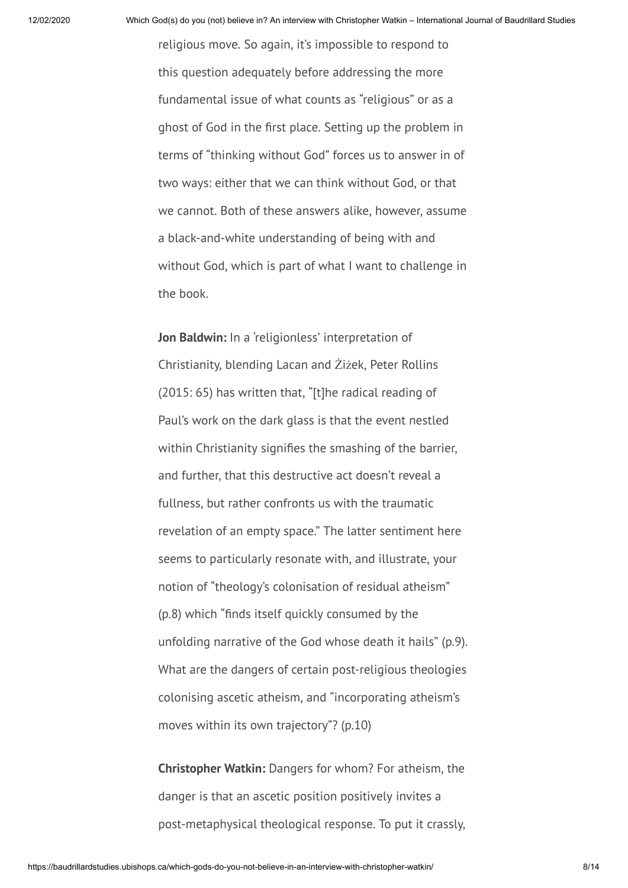religious move. So again, it's impossible to respond to this question adequately before addressing the more fundamental issue of what counts as "religious" or as a ghost of God in the first place. Setting up the problem in terms of "thinking without God" forces us to answer in of two ways: either that we can think without God, or that we cannot. Both of these answers alike, however, assume a black-and-white understanding of being with and without God, which is part of what I want to challenge in the book.

**Jon Baldwin:** In a 'religionless' interpretation of Christianity, blending Lacan and Żiżek, Peter Rollins (2015: 65) has written that, "[t]he radical reading of Paul's work on the dark glass is that the event nestled within Christianity signifies the smashing of the barrier, and further, that this destructive act doesn't reveal a fullness, but rather confronts us with the traumatic revelation of an empty space." The latter sentiment here seems to particularly resonate with, and illustrate, your notion of "theology's colonisation of residual atheism" (p.8) which "finds itself quickly consumed by the unfolding narrative of the God whose death it hails" (p.9). What are the dangers of certain post-religious theologies colonising ascetic atheism, and "incorporating atheism's moves within its own trajectory"? (p.10)

**Christopher Watkin:** Dangers for whom? For atheism, the danger is that an ascetic position positively invites a post-metaphysical theological response. To put it crassly,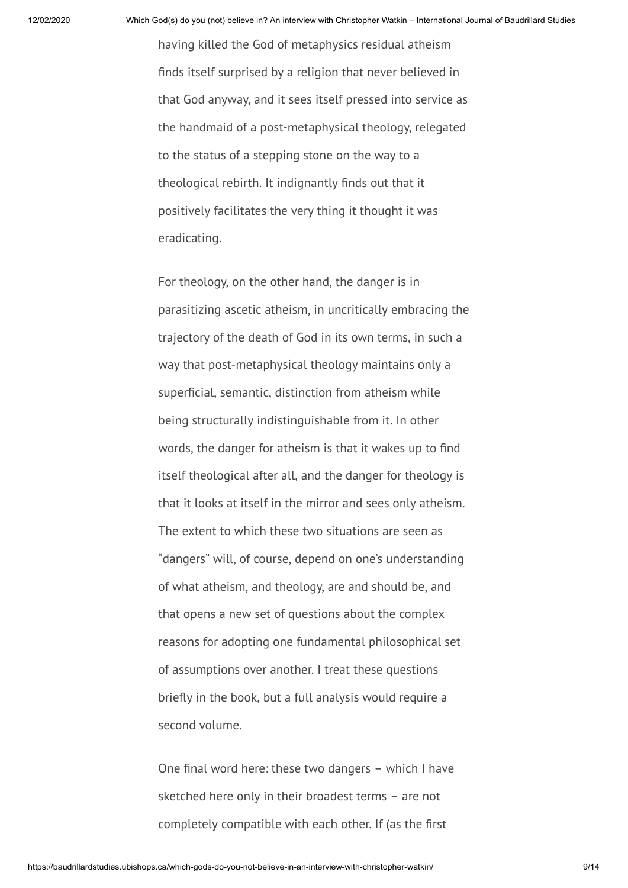having killed the God of metaphysics residual atheism finds itself surprised by a religion that never believed in that God anyway, and it sees itself pressed into service as the handmaid of a post-metaphysical theology, relegated to the status of a stepping stone on the way to a theological rebirth. It indignantly finds out that it positively facilitates the very thing it thought it was eradicating.

For theology, on the other hand, the danger is in parasitizing ascetic atheism, in uncritically embracing the trajectory of the death of God in its own terms, in such a way that post-metaphysical theology maintains only a superficial, semantic, distinction from atheism while being structurally indistinguishable from it. In other words, the danger for atheism is that it wakes up to find itself theological after all, and the danger for theology is that it looks at itself in the mirror and sees only atheism. The extent to which these two situations are seen as "dangers" will, of course, depend on one's understanding of what atheism, and theology, are and should be, and that opens a new set of questions about the complex reasons for adopting one fundamental philosophical set of assumptions over another. I treat these questions briefly in the book, but a full analysis would require a second volume.

One final word here: these two dangers  $-$  which I have sketched here only in their broadest terms – are not completely compatible with each other. If (as the first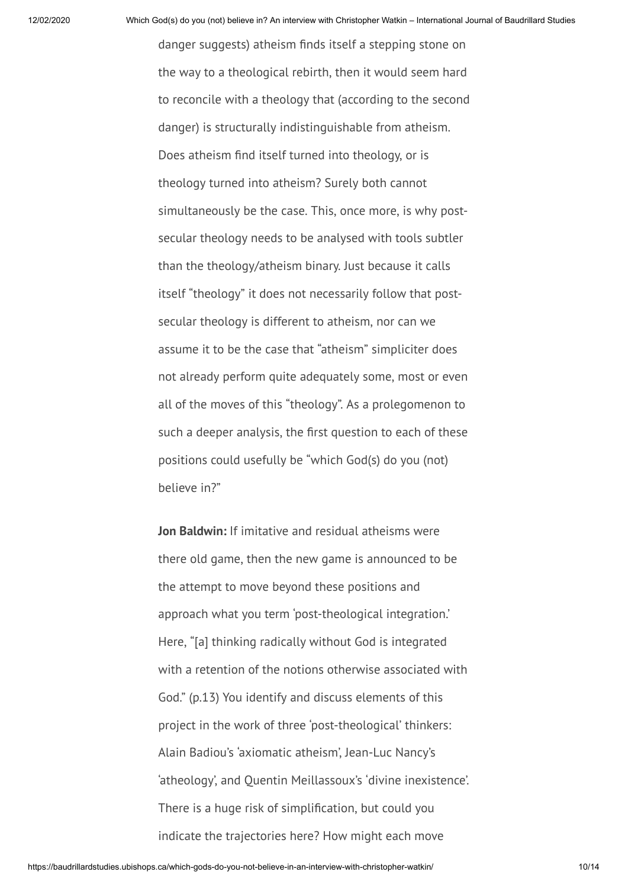danger suggests) atheism finds itself a stepping stone on the way to a theological rebirth, then it would seem hard to reconcile with a theology that (according to the second danger) is structurally indistinguishable from atheism. Does atheism find itself turned into theology, or is theology turned into atheism? Surely both cannot simultaneously be the case. This, once more, is why postsecular theology needs to be analysed with tools subtler than the theology/atheism binary. Just because it calls itself "theology" it does not necessarily follow that postsecular theology is different to atheism, nor can we assume it to be the case that "atheism" simpliciter does not already perform quite adequately some, most or even all of the moves of this "theology". As a prolegomenon to such a deeper analysis, the first question to each of these positions could usefully be "which God(s) do you (not) believe in?"

**Jon Baldwin:** If imitative and residual atheisms were there old game, then the new game is announced to be the attempt to move beyond these positions and approach what you term 'post-theological integration.' Here, "[a] thinking radically without God is integrated with a retention of the notions otherwise associated with God." (p.13) You identify and discuss elements of this project in the work of three 'post-theological' thinkers: Alain Badiou's 'axiomatic atheism', Jean-Luc Nancy's 'atheology', and Quentin Meillassoux's 'divine inexistence'. There is a huge risk of simplification, but could you indicate the trajectories here? How might each move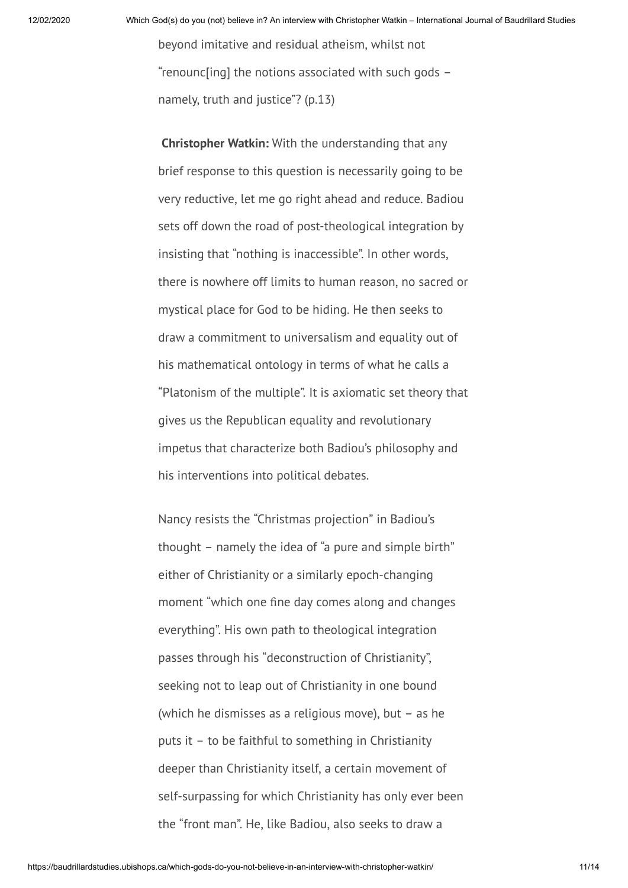beyond imitative and residual atheism, whilst not "renounc[ing] the notions associated with such gods – namely, truth and justice"? (p.13)

**Christopher Watkin:** With the understanding that any brief response to this question is necessarily going to be very reductive, let me go right ahead and reduce. Badiou sets off down the road of post-theological integration by insisting that "nothing is inaccessible". In other words, there is nowhere off limits to human reason, no sacred or mystical place for God to be hiding. He then seeks to draw a commitment to universalism and equality out of his mathematical ontology in terms of what he calls a "Platonism of the multiple". It is axiomatic set theory that gives us the Republican equality and revolutionary impetus that characterize both Badiou's philosophy and his interventions into political debates.

Nancy resists the "Christmas projection" in Badiou's thought – namely the idea of "a pure and simple birth" either of Christianity or a similarly epoch-changing moment "which one fine day comes along and changes everything". His own path to theological integration passes through his "deconstruction of Christianity", seeking not to leap out of Christianity in one bound (which he dismisses as a religious move), but – as he puts it – to be faithful to something in Christianity deeper than Christianity itself, a certain movement of self-surpassing for which Christianity has only ever been the "front man". He, like Badiou, also seeks to draw a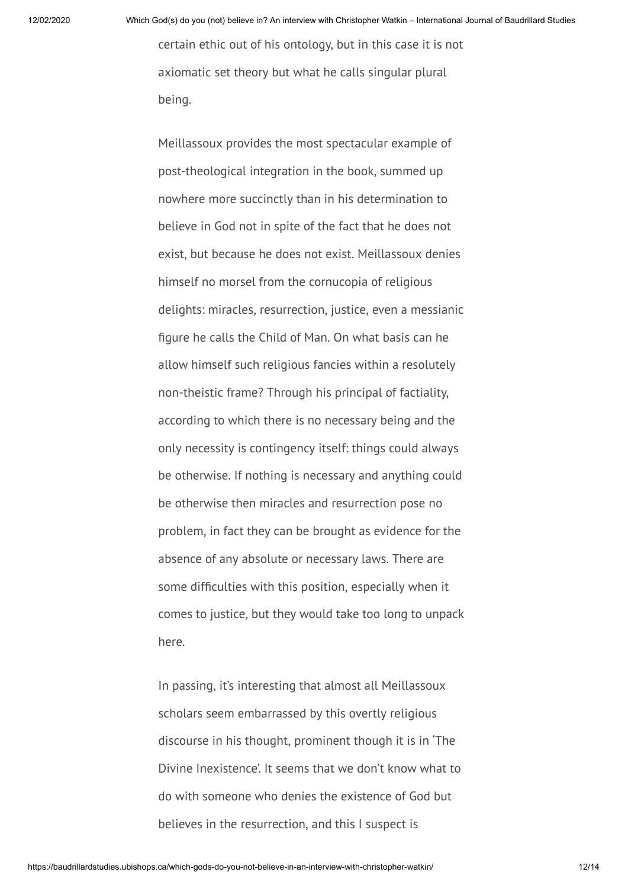certain ethic out of his ontology, but in this case it is not axiomatic set theory but what he calls singular plural being.

Meillassoux provides the most spectacular example of post-theological integration in the book, summed up nowhere more succinctly than in his determination to believe in God not in spite of the fact that he does not exist, but because he does not exist. Meillassoux denies himself no morsel from the cornucopia of religious delights: miracles, resurrection, justice, even a messianic figure he calls the Child of Man. On what basis can he allow himself such religious fancies within a resolutely non-theistic frame? Through his principal of factiality, according to which there is no necessary being and the only necessity is contingency itself: things could always be otherwise. If nothing is necessary and anything could be otherwise then miracles and resurrection pose no problem, in fact they can be brought as evidence for the absence of any absolute or necessary laws. There are some difficulties with this position, especially when it comes to justice, but they would take too long to unpack here.

In passing, it's interesting that almost all Meillassoux scholars seem embarrassed by this overtly religious discourse in his thought, prominent though it is in 'The Divine Inexistence'. It seems that we don't know what to do with someone who denies the existence of God but believes in the resurrection, and this I suspect is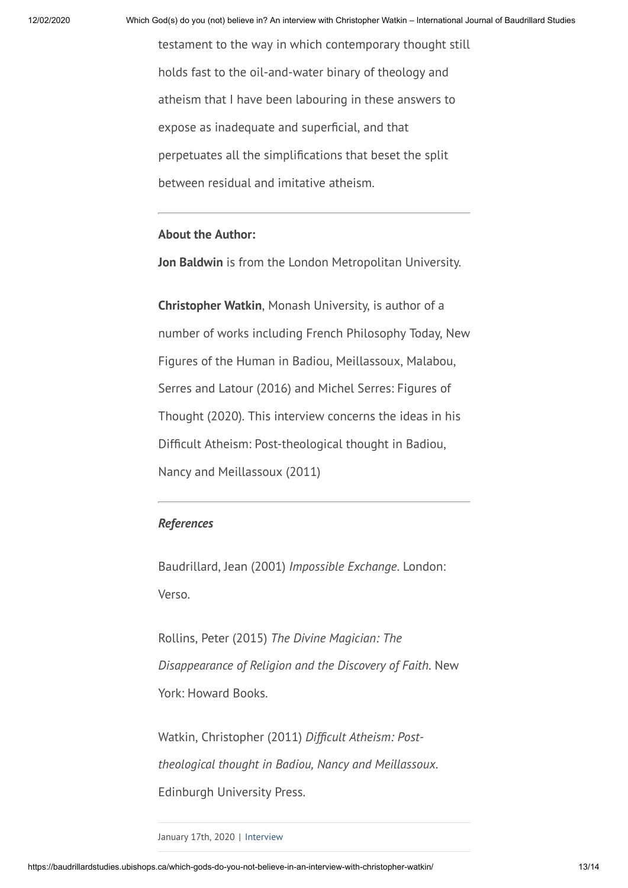testament to the way in which contemporary thought still holds fast to the oil-and-water binary of theology and atheism that I have been labouring in these answers to expose as inadequate and superficial, and that perpetuates all the simplifications that beset the split between residual and imitative atheism.

## **About the Author:**

**Jon Baldwin** is from the London Metropolitan University.

**Christopher Watkin**, Monash University, is author of a number of works including French Philosophy Today, New Figures of the Human in Badiou, Meillassoux, Malabou, Serres and Latour (2016) and Michel Serres: Figures of Thought (2020). This interview concerns the ideas in his Difficult Atheism: Post-theological thought in Badiou, Nancy and Meillassoux (2011)

## *References*

Baudrillard, Jean (2001) *Impossible Exchange*. London: Verso.

Rollins, Peter (2015) *The Divine Magician: The Disappearance of Religion and the Discovery of Faith*. New York: Howard Books.

Watkin, Christopher (2011) *Difcult Atheism: Posttheological thought in Badiou, Nancy and Meillassoux*. Edinburgh University Press.